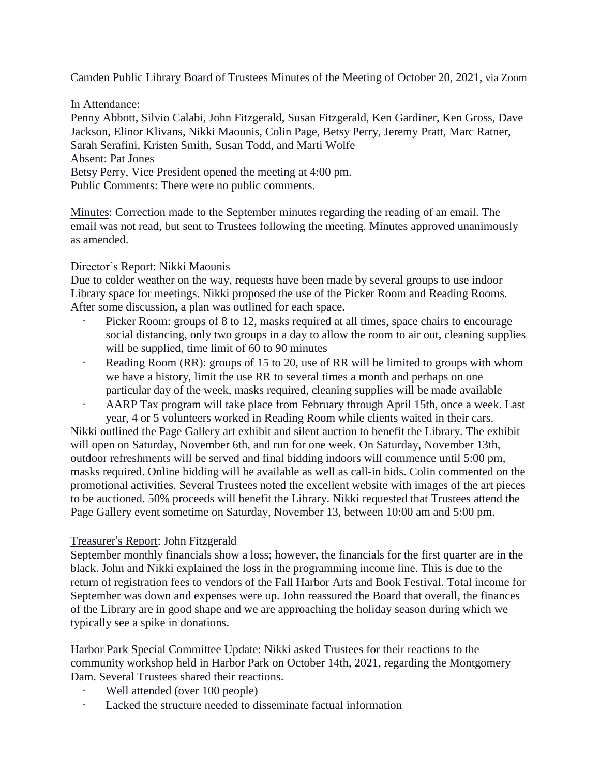Camden Public Library Board of Trustees Minutes of the Meeting of October 20, 2021, via Zoom

In Attendance: Penny Abbott, Silvio Calabi, John Fitzgerald, Susan Fitzgerald, Ken Gardiner, Ken Gross, Dave Jackson, Elinor Klivans, Nikki Maounis, Colin Page, Betsy Perry, Jeremy Pratt, Marc Ratner, Sarah Serafini, Kristen Smith, Susan Todd, and Marti Wolfe Absent: Pat Jones Betsy Perry, Vice President opened the meeting at 4:00 pm. Public Comments: There were no public comments.

Minutes: Correction made to the September minutes regarding the reading of an email. The email was not read, but sent to Trustees following the meeting. Minutes approved unanimously as amended.

## Director's Report: Nikki Maounis

Due to colder weather on the way, requests have been made by several groups to use indoor Library space for meetings. Nikki proposed the use of the Picker Room and Reading Rooms. After some discussion, a plan was outlined for each space.

- Picker Room: groups of 8 to 12, masks required at all times, space chairs to encourage social distancing, only two groups in a day to allow the room to air out, cleaning supplies will be supplied, time limit of 60 to 90 minutes
- Reading Room (RR): groups of 15 to 20, use of RR will be limited to groups with whom we have a history, limit the use RR to several times a month and perhaps on one particular day of the week, masks required, cleaning supplies will be made available
- AARP Tax program will take place from February through April 15th, once a week. Last year, 4 or 5 volunteers worked in Reading Room while clients waited in their cars.

Nikki outlined the Page Gallery art exhibit and silent auction to benefit the Library. The exhibit will open on Saturday, November 6th, and run for one week. On Saturday, November 13th, outdoor refreshments will be served and final bidding indoors will commence until 5:00 pm, masks required. Online bidding will be available as well as call-in bids. Colin commented on the promotional activities. Several Trustees noted the excellent website with images of the art pieces to be auctioned. 50% proceeds will benefit the Library. Nikki requested that Trustees attend the Page Gallery event sometime on Saturday, November 13, between 10:00 am and 5:00 pm.

## Treasurer's Report: John Fitzgerald

September monthly financials show a loss; however, the financials for the first quarter are in the black. John and Nikki explained the loss in the programming income line. This is due to the return of registration fees to vendors of the Fall Harbor Arts and Book Festival. Total income for September was down and expenses were up. John reassured the Board that overall, the finances of the Library are in good shape and we are approaching the holiday season during which we typically see a spike in donations.

Harbor Park Special Committee Update: Nikki asked Trustees for their reactions to the community workshop held in Harbor Park on October 14th, 2021, regarding the Montgomery Dam. Several Trustees shared their reactions.

- Well attended (over 100 people)
- Lacked the structure needed to disseminate factual information